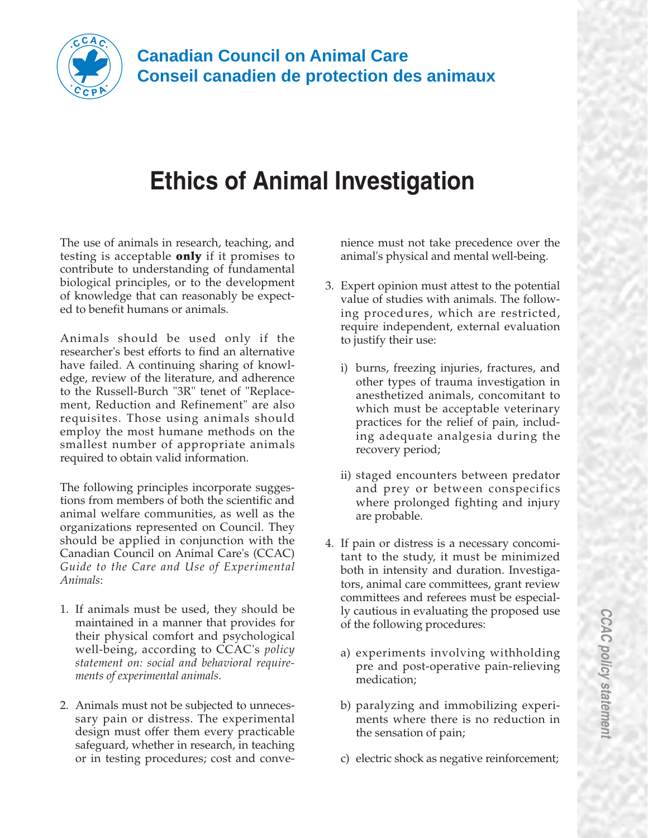

## **Ethics of Animal Investigation**

The use of animals in research, teaching, and testing is acceptable **only** if it promises to contribute to understanding of fundamental biological principles, or to the development of knowledge that can reasonably be expected to benefit humans or animals.

Animals should be used only if the researcher's best efforts to find an alternative have failed. A continuing sharing of knowledge, review of the literature, and adherence to the Russell-Burch "3R" tenet of "Replacement, Reduction and Refinement" are also requisites. Those using animals should employ the most humane methods on the smallest number of appropriate animals required to obtain valid information.

The following principles incorporate suggestions from members of both the scientific and animal welfare communities, as well as the organizations represented on Council. They should be applied in conjunction with the Canadian Council on Animal Care's (CCAC) *Guide to the Care and Use of Experimental Animals*:

- 1. If animals must be used, they should be maintained in a manner that provides for their physical comfort and psychological well-being, according to CCAC's *policy statement on: social and behavioral requirements of experimental animals*.
- 2. Animals must not be subjected to unnecessary pain or distress. The experimental design must offer them every practicable safeguard, whether in research, in teaching or in testing procedures; cost and conve-

nience must not take precedence over the animal's physical and mental well-being.

- 3. Expert opinion must attest to the potential value of studies with animals. The following procedures, which are restricted, require independent, external evaluation to justify their use:
	- i) burns, freezing injuries, fractures, and other types of trauma investigation in anesthetized animals, concomitant to which must be acceptable veterinary practices for the relief of pain, including adequate analgesia during the recovery period;
	- ii) staged encounters between predator and prey or between conspecifics where prolonged fighting and injury are probable.
- 4. If pain or distress is a necessary concomitant to the study, it must be minimized both in intensity and duration. Investigators, animal care committees, grant review committees and referees must be especially cautious in evaluating the proposed use of the following procedures:
	- a) experiments involving withholding pre and post-operative pain-relieving medication;
	- b) paralyzing and immobilizing experiments where there is no reduction in the sensation of pain;
	- c) electric shock as negative reinforcement;